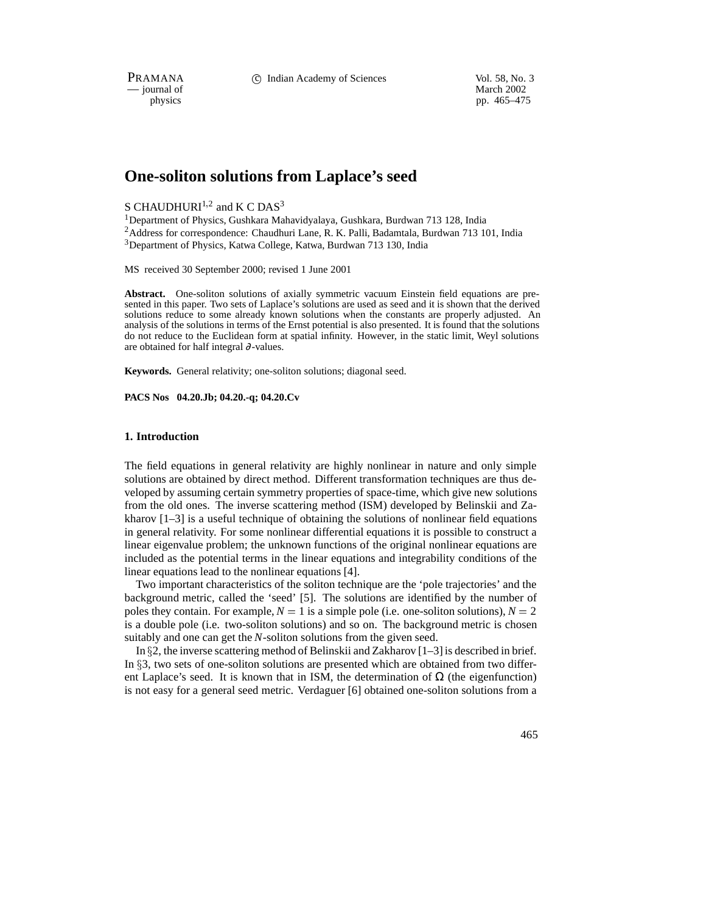PRAMANA 
<sup>C</sup> Indian Academy of Sciences Vol. 58, No. 3<br>
— iournal of March 2002

physics and the method of the method of the method of the method of the method of the method of the method of the method of the method of the method of the method of the method of the method of the method of the method of pp. 465–475

# **One-soliton solutions from Laplace's seed**

## S CHAUDHURI<sup>1,2</sup> and K C DAS<sup>3</sup>

 ${}^{1}$ Department of Physics, Gushkara Mahavidyalaya, Gushkara, Burdwan 713 128, India <sup>2</sup>Address for correspondence: Chaudhuri Lane, R. K. Palli, Badamtala, Burdwan 713 101, India <sup>3</sup>Department of Physics, Katwa College, Katwa, Burdwan 713 130, India

MS received 30 September 2000; revised 1 June 2001

**Abstract.** One-soliton solutions of axially symmetric vacuum Einstein field equations are presented in this paper. Two sets of Laplace's solutions are used as seed and it is shown that the derived solutions reduce to some already known solutions when the constants are properly adjusted. An analysis of the solutions in terms of the Ernst potential is also presented. It is found that the solutions do not reduce to the Euclidean form at spatial infinity. However, in the static limit, Weyl solutions are obtained for half integral ∂-values.

**Keywords.** General relativity; one-soliton solutions; diagonal seed.

**PACS Nos 04.20.Jb; 04.20.-q; 04.20.Cv**

#### **1. Introduction**

The field equations in general relativity are highly nonlinear in nature and only simple solutions are obtained by direct method. Different transformation techniques are thus developed by assuming certain symmetry properties of space-time, which give new solutions from the old ones. The inverse scattering method (ISM) developed by Belinskii and Zakharov  $[1-3]$  is a useful technique of obtaining the solutions of nonlinear field equations in general relativity. For some nonlinear differential equations it is possible to construct a linear eigenvalue problem; the unknown functions of the original nonlinear equations are included as the potential terms in the linear equations and integrability conditions of the linear equations lead to the nonlinear equations [4].

Two important characteristics of the soliton technique are the 'pole trajectories' and the background metric, called the 'seed' [5]. The solutions are identified by the number of poles they contain. For example,  $N = 1$  is a simple pole (i.e. one-soliton solutions),  $N = 2$ is a double pole (i.e. two-soliton solutions) and so on. The background metric is chosen suitably and one can get the *N*-soliton solutions from the given seed.

In §2, the inverse scattering method of Belinskii and Zakharov  $[1-3]$  is described in brief. In  $\S$ 3, two sets of one-soliton solutions are presented which are obtained from two different Laplace's seed. It is known that in ISM, the determination of  $\Omega$  (the eigenfunction) is not easy for a general seed metric. Verdaguer [6] obtained one-soliton solutions from a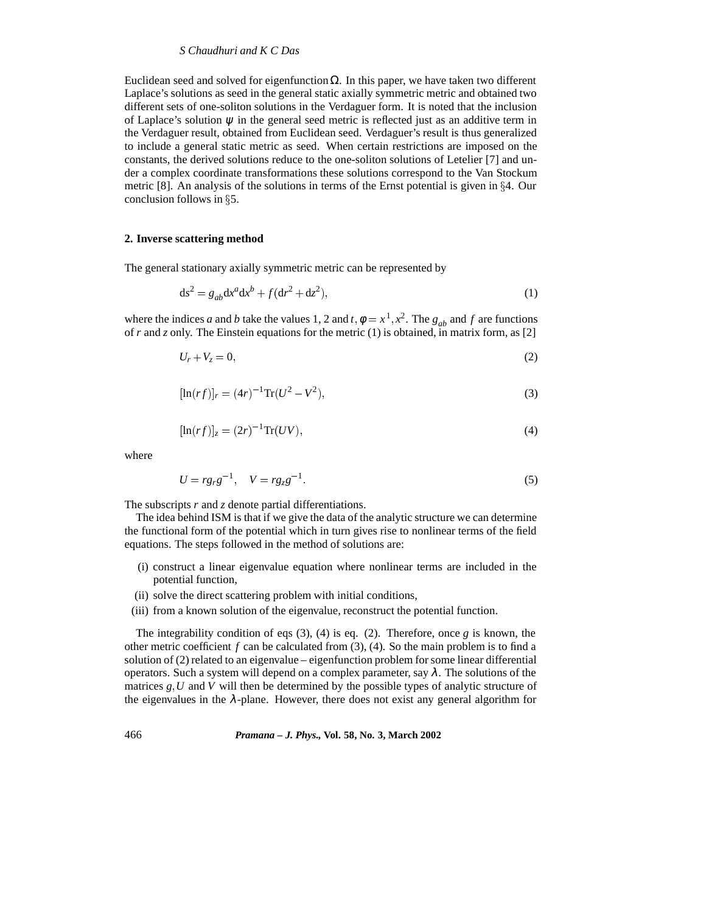#### *S Chaudhuri and K C Das*

Euclidean seed and solved for eigenfunction  $Ω$ . In this paper, we have taken two different Laplace's solutions as seed in the general static axially symmetric metric and obtained two different sets of one-soliton solutions in the Verdaguer form. It is noted that the inclusion of Laplace's solution  $\psi$  in the general seed metric is reflected just as an additive term in the Verdaguer result, obtained from Euclidean seed. Verdaguer's result is thus generalized to include a general static metric as seed. When certain restrictions are imposed on the constants, the derived solutions reduce to the one-soliton solutions of Letelier [7] and under a complex coordinate transformations these solutions correspond to the Van Stockum metric [8]. An analysis of the solutions in terms of the Ernst potential is given in  $\S 4$ . Our conclusion follows in  $\S$ 5.

#### **2. Inverse scattering method**

The general stationary axially symmetric metric can be represented by

$$
ds^{2} = g_{ab}dx^{a}dx^{b} + f(dr^{2} + dz^{2}),
$$
\n(1)

where the indices *a* and *b* take the values 1, 2 and *t*,  $\phi = x^1, x^2$ . The  $g_{ab}$  and *f* are functions of *r* and *z* only. The Einstein equations for the metric (1) is obtained, in matrix form, as [2]

$$
U_r + V_z = 0,\t\t(2)
$$

$$
[\ln(rf)]_r = (4r)^{-1} \text{Tr}(U^2 - V^2),\tag{3}
$$

$$
[\ln(rf)]_z = (2r)^{-1} \text{Tr}(UV),\tag{4}
$$

where

$$
U = r g_r g^{-1}, \quad V = r g_z g^{-1}.
$$
 (5)

The subscripts *r* and *z* denote partial differentiations.

The idea behind ISM is that if we give the data of the analytic structure we can determine the functional form of the potential which in turn gives rise to nonlinear terms of the field equations. The steps followed in the method of solutions are:

- (i) construct a linear eigenvalue equation where nonlinear terms are included in the potential function,
- (ii) solve the direct scattering problem with initial conditions,
- (iii) from a known solution of the eigenvalue, reconstruct the potential function.

The integrability condition of eqs (3), (4) is eq. (2). Therefore, once *g* is known, the other metric coefficient  $f$  can be calculated from  $(3)$ ,  $(4)$ . So the main problem is to find a solution of (2) related to an eigenvalue – eigenfunction problem for some linear differential operators. Such a system will depend on a complex parameter, say  $\lambda$ . The solutions of the matrices  $g, U$  and  $V$  will then be determined by the possible types of analytic structure of the eigenvalues in the  $\lambda$ -plane. However, there does not exist any general algorithm for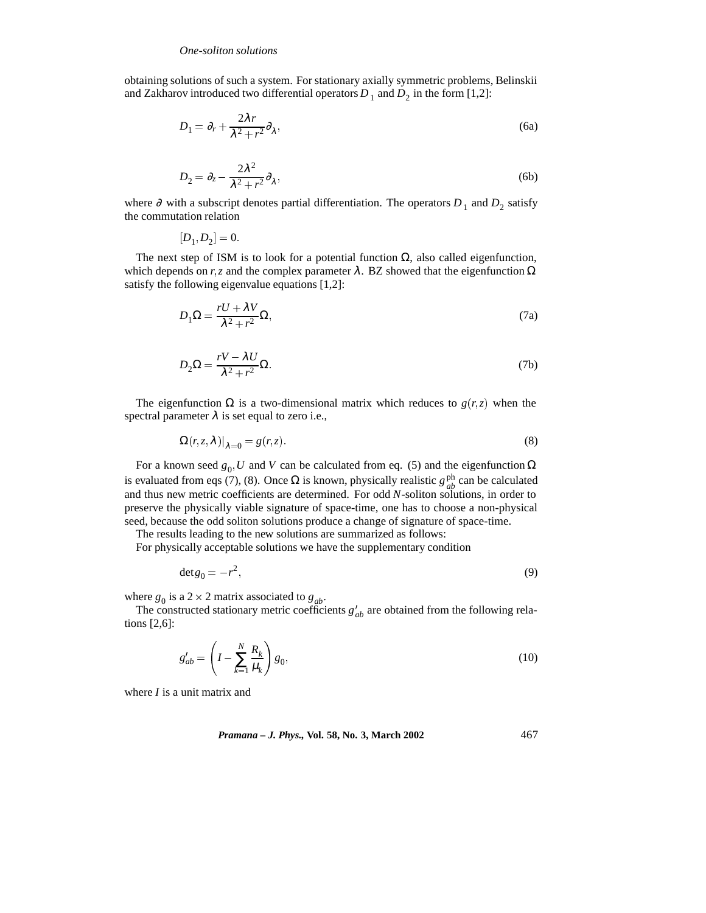obtaining solutions of such a system. For stationary axially symmetric problems, Belinskii and Zakharov introduced two differential operators  $D_1$  and  $D_2$  in the form [1,2]:

$$
D_1 = \partial_r + \frac{2\lambda r}{\lambda^2 + r^2} \partial_\lambda,\tag{6a}
$$

$$
D_2 = \partial_z - \frac{2\lambda^2}{\lambda^2 + r^2} \partial_\lambda,\tag{6b}
$$

where ∂ with a subscript denotes partial differentiation. The operators  $D_1$  and  $D_2$  satisfy the commutation relation

 $[D_1, D_2] = 0.$ 

The next step of ISM is to look for a potential function  $\Omega$ , also called eigenfunction, which depends on  $r, z$  and the complex parameter  $\lambda$ . BZ showed that the eigenfunction  $\Omega$ satisfy the following eigenvalue equations [1,2]:

$$
D_1 \Omega = \frac{rU + \lambda V}{\lambda^2 + r^2} \Omega,
$$
\n(7a)

$$
D_2\Omega = \frac{rV - \lambda U}{\lambda^2 + r^2}\Omega.
$$
 (7b)

The eigenfunction  $\Omega$  is a two-dimensional matrix which reduces to  $g(r, z)$  when the spectral parameter  $\lambda$  is set equal to zero i.e.,

$$
\Omega(r, z, \lambda)|_{\lambda=0} = g(r, z). \tag{8}
$$

For a known seed  $g_0$ , *U* and *V* can be calculated from eq. (5) and the eigenfunction  $\Omega$ is evaluated from eqs (7), (8). Once  $\Omega$  is known, physically realistic  $g_{ab}^{\text{ph}}$  can be calculated and thus new metric coefficients are determined. For odd *N*-soliton solutions, in order to preserve the physically viable signature of space-time, one has to choose a non-physical seed, because the odd soliton solutions produce a change of signature of space-time.

The results leading to the new solutions are summarized as follows:

For physically acceptable solutions we have the supplementary condition

$$
\det g_0 = -r^2,\tag{9}
$$

where  $g_0$  is a 2  $\times$  2 matrix associated to  $g_{ab}$ .

The constructed stationary metric coefficients  $g'_{ab}$  are obtained from the following relations [2,6]:

$$
g'_{ab} = \left(I - \sum_{k=1}^{N} \frac{R_k}{\mu_k}\right) g_0,\tag{10}
$$

where *I* is a unit matrix and

*Pramana – J. Phys.,* **Vol. 58, No. 3, March 2002** 467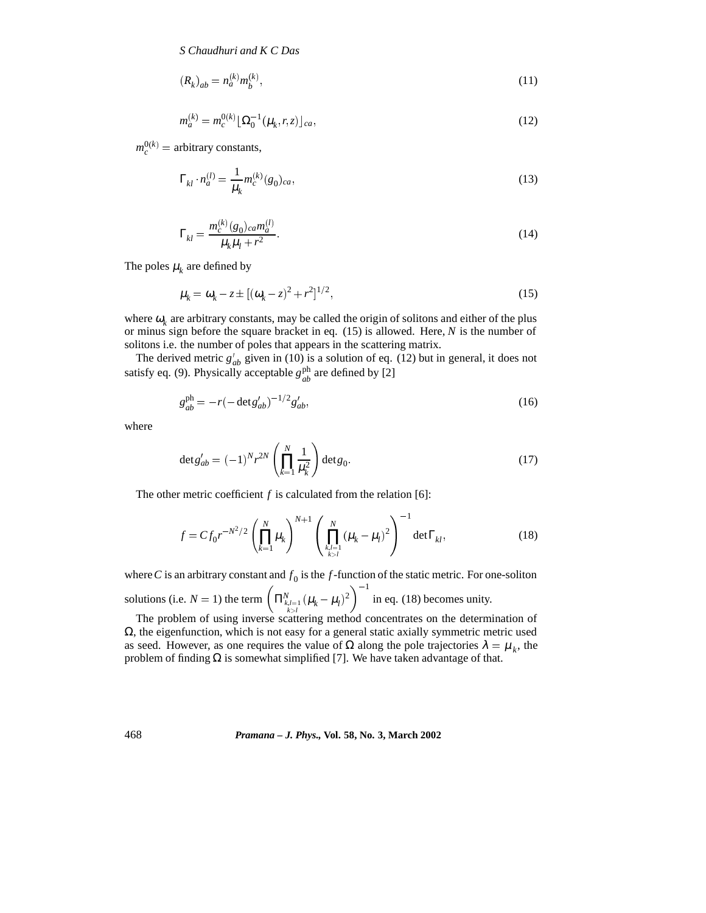$$
(R_k)_{ab} = n_a^{(k)} m_b^{(k)},\tag{11}
$$

$$
m_a^{(k)} = m_c^{0(k)} \left[ \Omega_0^{-1} (\mu_k, r, z) \right]_{ca},\tag{12}
$$

 $m_c^{0(k)}$  = arbitrary constants,

$$
\Gamma_{kl} \cdot n_a^{(l)} = \frac{1}{\mu_k} m_c^{(k)}(g_0)_{ca},\tag{13}
$$

$$
\Gamma_{kl} = \frac{m_c^{(k)}(g_0)_{ca} m_a^{(l)}}{\mu_k \mu_l + r^2}.
$$
\n(14)

The poles  $\mu_k$  are defined by

$$
\mu_k = \omega_k - z \pm [(\omega_k - z)^2 + r^2]^{1/2},\tag{15}
$$

where  $\omega_k$  are arbitrary constants, may be called the origin of solitons and either of the plus or minus sign before the square bracket in eq. (15) is allowed. Here, *N* is the number of solitons i.e. the number of poles that appears in the scattering matrix.

The derived metric  $g'_{ab}$  given in (10) is a solution of eq. (12) but in general, it does not satisfy eq. (9). Physically acceptable  $g_{ab}^{ph}$  are defined by [2]

$$
g_{ab}^{\text{ph}} = -r(-\det g_{ab}')^{-1/2}g_{ab}',\tag{16}
$$

where

$$
\det g'_{ab} = (-1)^N r^{2N} \left( \prod_{k=1}^N \frac{1}{\mu_k^2} \right) \det g_0.
$$
 (17)

The other metric coefficient  $f$  is calculated from the relation [6]:

$$
f = C f_0 r^{-N^2/2} \left( \prod_{k=1}^N \mu_k \right)^{N+1} \left( \prod_{\substack{k,l=1 \ k>l}}^N (\mu_k - \mu_l)^2 \right)^{-1} \det \Gamma_{kl}, \tag{18}
$$

where *C* is an arbitrary constant and  $f_0$  is the *f*-function of the static metric. For one-soliton

solutions (i.e.  $N = 1$ ) the term  $\left(\prod_{\substack{k,l=1 \ k>l}}^{N} (\mu_k - \mu_l)^2\right)^{-1}$  in eq  $\left( \frac{2}{2} \right)^{-1}$  in eq. (18) becomes unity.

The problem of using inverse scattering method concentrates on the determination of  $\Omega$ , the eigenfunction, which is not easy for a general static axially symmetric metric used as seed. However, as one requires the value of  $\Omega$  along the pole trajectories  $\lambda = \mu_k$ , the problem of finding  $Ω$  is somewhat simplified [7]. We have taken advantage of that.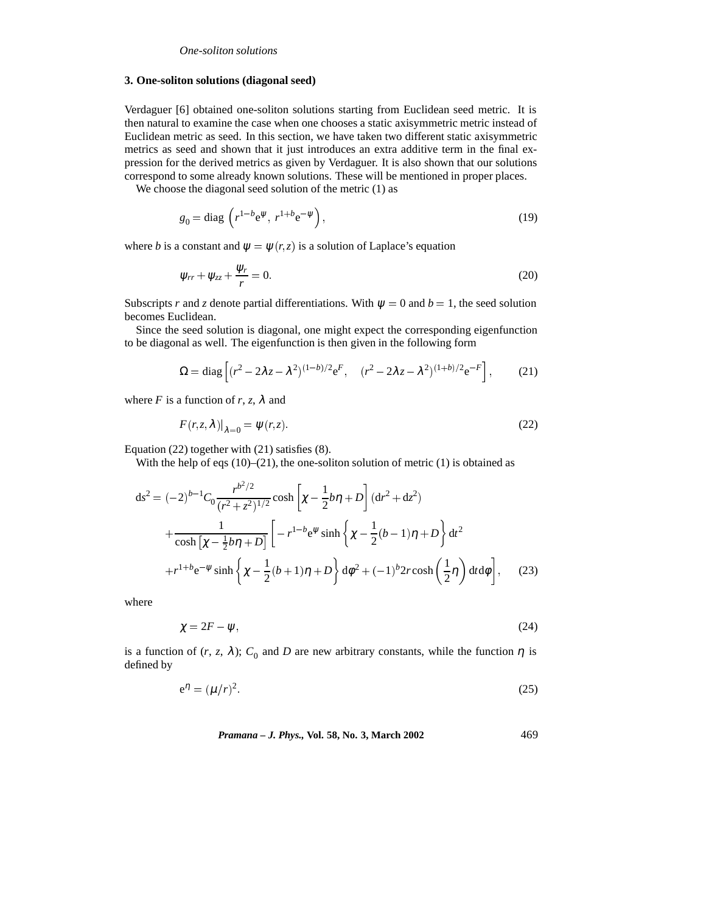#### **3. One-soliton solutions (diagonal seed)**

Verdaguer [6] obtained one-soliton solutions starting from Euclidean seed metric. It is then natural to examine the case when one chooses a static axisymmetric metric instead of Euclidean metric as seed. In this section, we have taken two different static axisymmetric metrics as seed and shown that it just introduces an extra additive term in the final expression for the derived metrics as given by Verdaguer. It is also shown that our solutions correspond to some already known solutions. These will be mentioned in proper places.

We choose the diagonal seed solution of the metric  $(1)$  as

$$
g_0 = \text{diag}\left(r^{1-b}e^{\psi}, r^{1+b}e^{-\psi}\right),\tag{19}
$$

where *b* is a constant and  $\psi = \psi(r, z)$  is a solution of Laplace's equation

$$
\psi_{rr} + \psi_{zz} + \frac{\psi_r}{r} = 0. \tag{20}
$$

Subscripts *r* and *z* denote partial differentiations. With  $\psi = 0$  and  $b = 1$ , the seed solution becomes Euclidean.

Since the seed solution is diagonal, one might expect the corresponding eigenfunction to be diagonal as well. The eigenfunction is then given in the following form

$$
\Omega = \text{diag}\left[ (r^2 - 2\lambda z - \lambda^2)^{(1-b)/2} e^F, \quad (r^2 - 2\lambda z - \lambda^2)^{(1+b)/2} e^{-F} \right],\tag{21}
$$

where *F* is a function of *r*, *z*,  $\lambda$  and

$$
F(r, z, \lambda)|_{\lambda=0} = \psi(r, z). \tag{22}
$$

Equation (22) together with (21) satisfies (8).

With the help of eqs  $(10)$ – $(21)$ , the one-soliton solution of metric  $(1)$  is obtained as

$$
ds^{2} = (-2)^{b-1}C_{0} \frac{r^{b^{2}/2}}{(r^{2} + z^{2})^{1/2}} \cosh\left[\chi - \frac{1}{2}b\eta + D\right] (dr^{2} + dz^{2})
$$
  
+ 
$$
\frac{1}{\cosh\left[\chi - \frac{1}{2}b\eta + D\right]} \left[ -r^{1-b}e^{\psi}\sinh\left\{\chi - \frac{1}{2}(b-1)\eta + D\right\} dt^{2} + r^{1+b}e^{-\psi}\sinh\left\{\chi - \frac{1}{2}(b+1)\eta + D\right\} d\phi^{2} + (-1)^{b}2r\cosh\left(\frac{1}{2}\eta\right) dt d\phi \right], \quad (23)
$$

where

$$
\chi = 2F - \psi,\tag{24}
$$

is a function of  $(r, z, \lambda)$ ;  $C_0$  and *D* are new arbitrary constants, while the function  $\eta$  is defined by

$$
e^{\eta} = (\mu/r)^2. \tag{25}
$$

*Pramana – J. Phys.,* **Vol. 58, No. 3, March 2002** 469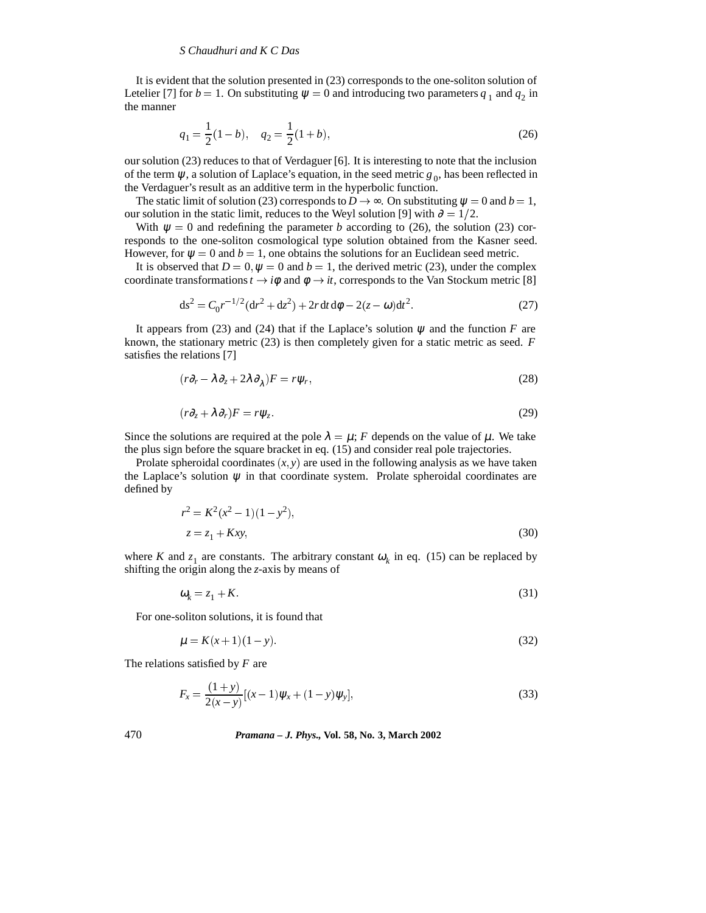It is evident that the solution presented in (23) corresponds to the one-soliton solution of Letelier [7] for  $b = 1$ . On substituting  $\psi = 0$  and introducing two parameters  $q_1$  and  $q_2$  in the manner

$$
q_1 = \frac{1}{2}(1-b), \quad q_2 = \frac{1}{2}(1+b),\tag{26}
$$

our solution (23) reduces to that of Verdaguer [6]. It is interesting to note that the inclusion of the term  $\psi$ , a solution of Laplace's equation, in the seed metric  $g_0$ , has been reflected in the Verdaguer's result as an additive term in the hyperbolic function.

The static limit of solution (23) corresponds to  $D \rightarrow \infty$ . On substituting  $\psi = 0$  and  $b = 1$ , our solution in the static limit, reduces to the Weyl solution [9] with  $\partial = 1/2$ .

With  $\psi = 0$  and redefining the parameter *b* according to (26), the solution (23) corresponds to the one-soliton cosmological type solution obtained from the Kasner seed. However, for  $\psi = 0$  and  $b = 1$ , one obtains the solutions for an Euclidean seed metric.

It is observed that  $D = 0$ ,  $\psi = 0$  and  $b = 1$ , the derived metric (23), under the complex coordinate transformations  $t \rightarrow i\phi$  and  $\phi \rightarrow it$ , corresponds to the Van Stockum metric [8]

$$
ds^{2} = C_0 r^{-1/2} (dr^{2} + dz^{2}) + 2r dt d\phi - 2(z - \omega) dt^{2}.
$$
 (27)

It appears from (23) and (24) that if the Laplace's solution  $\psi$  and the function *F* are known, the stationary metric (23) is then completely given for a static metric as seed. *F* satisfies the relations [7]

$$
(r\partial_r - \lambda \partial_z + 2\lambda \partial_\lambda)F = r\psi_r,\tag{28}
$$

$$
(r\partial_z + \lambda \partial_r)F = r\psi_z.
$$
 (29)

Since the solutions are required at the pole  $\lambda = \mu$ ; *F* depends on the value of  $\mu$ . We take the plus sign before the square bracket in eq. (15) and consider real pole trajectories.

Prolate spheroidal coordinates  $(x, y)$  are used in the following analysis as we have taken the Laplace's solution  $\psi$  in that coordinate system. Prolate spheroidal coordinates are defined by

$$
r^{2} = K^{2}(x^{2} - 1)(1 - y^{2}),
$$
  
\n
$$
z = z_{1} + Kxy,
$$
\n(30)

where *K* and  $z_1$  are constants. The arbitrary constant  $\omega_k$  in eq. (15) can be replaced by shifting the origin along the *z*-axis by means of

$$
\omega_k = z_1 + K \tag{31}
$$

For one-soliton solutions, it is found that

$$
\mu = K(x+1)(1-y). \tag{32}
$$

The relations satisfied by *F* are

$$
F_x = \frac{(1+y)}{2(x-y)}[(x-1)\psi_x + (1-y)\psi_y],
$$
\n(33)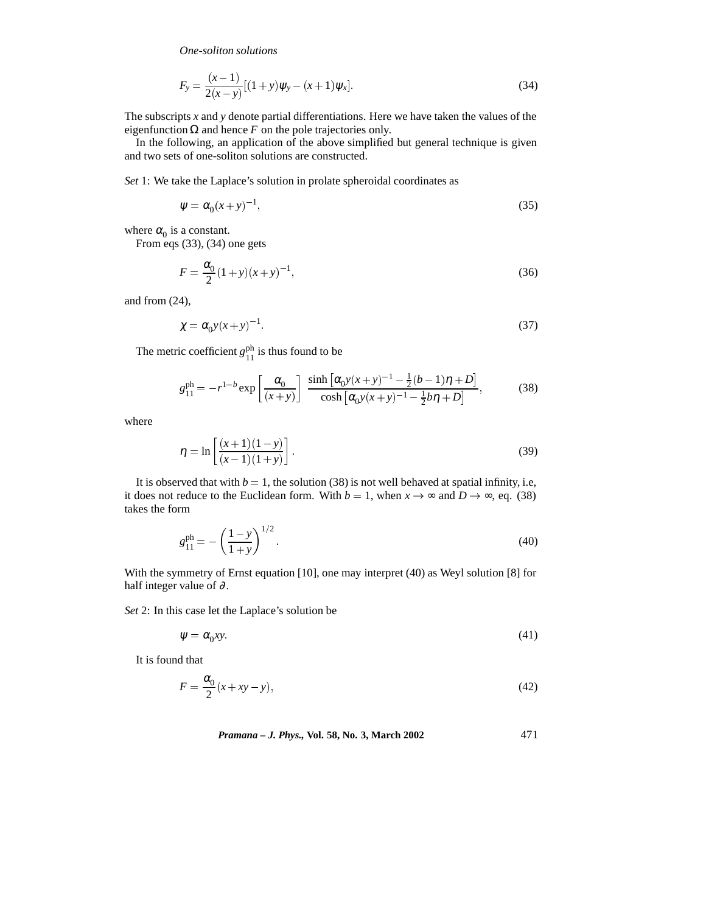$$
F_y = \frac{(x-1)}{2(x-y)}[(1+y)\psi_y - (x+1)\psi_x].
$$
\n(34)

The subscripts *x* and *y* denote partial differentiations. Here we have taken the values of the eigenfunction  $\Omega$  and hence *F* on the pole trajectories only.

In the following, an application of the above simplified but general technique is given and two sets of one-soliton solutions are constructed.

*Set* 1: We take the Laplace's solution in prolate spheroidal coordinates as

$$
\psi = \alpha_0 (x + y)^{-1},\tag{35}
$$

where  $\alpha_0$  is a constant.

From eqs (33), (34) one gets

$$
F = \frac{\alpha_0}{2} (1+y)(x+y)^{-1},
$$
\n(36)

and from (24),

$$
\chi = \alpha_0 y(x+y)^{-1}.\tag{37}
$$

The metric coefficient  $g_{11}^{\text{ph}}$  is thus found to be

$$
g_{11}^{\text{ph}} = -r^{1-b} \exp\left[\frac{\alpha_0}{(x+y)}\right] \frac{\sinh\left[\alpha_0 y(x+y)^{-1} - \frac{1}{2}(b-1)\eta + D\right]}{\cosh\left[\alpha_0 y(x+y)^{-1} - \frac{1}{2}b\eta + D\right]},
$$
(38)

where

$$
\eta = \ln \left[ \frac{(x+1)(1-y)}{(x-1)(1+y)} \right].
$$
\n(39)

It is observed that with  $b = 1$ , the solution (38) is not well behaved at spatial infinity, i.e, it does not reduce to the Euclidean form. With  $b = 1$ , when  $x \to \infty$  and  $D \to \infty$ , eq. (38) takes the form

$$
g_{11}^{\text{ph}} = -\left(\frac{1-y}{1+y}\right)^{1/2}.\tag{40}
$$

With the symmetry of Ernst equation [10], one may interpret (40) as Weyl solution [8] for half integer value of  $\partial$ .

*Set* 2: In this case let the Laplace's solution be

$$
\psi = \alpha_0 x y. \tag{41}
$$

It is found that

$$
F = \frac{\alpha_0}{2}(x + xy - y),\tag{42}
$$

*Pramana – J. Phys.,* **Vol. 58, No. 3, March 2002** 471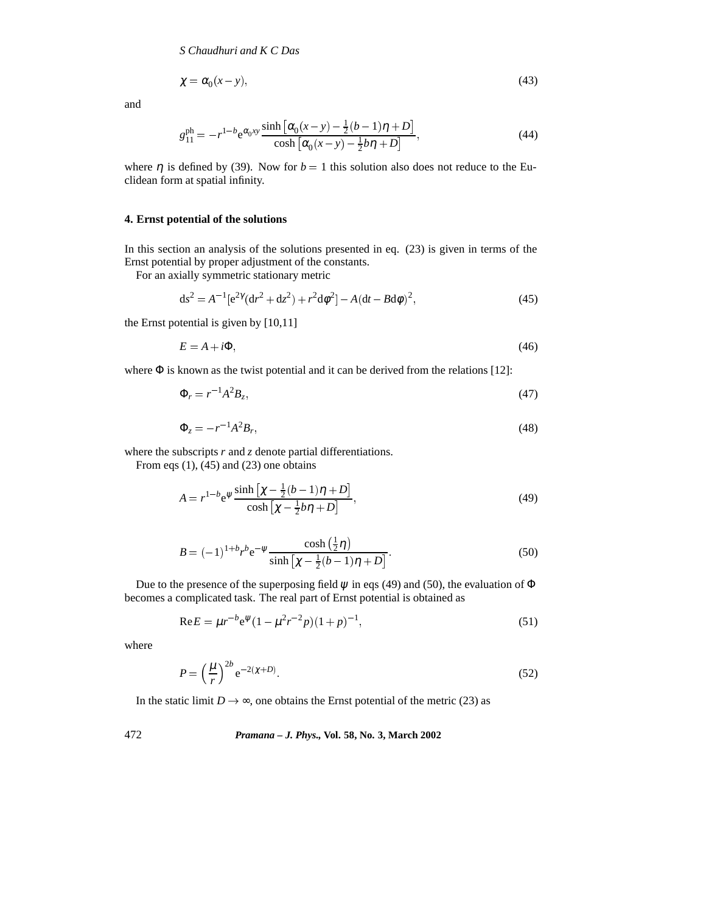$$
\chi = \alpha_0 (x - y),\tag{43}
$$

and

$$
g_{11}^{\text{ph}} = -r^{1-b} e^{\alpha_0 xy} \frac{\sinh\left[\alpha_0 (x-y) - \frac{1}{2} (b-1)\eta + D\right]}{\cosh\left[\alpha_0 (x-y) - \frac{1}{2} b\eta + D\right]},\tag{44}
$$

where  $\eta$  is defined by (39). Now for  $b = 1$  this solution also does not reduce to the Euclidean form at spatial infinity.

#### **4. Ernst potential of the solutions**

In this section an analysis of the solutions presented in eq. (23) is given in terms of the Ernst potential by proper adjustment of the constants.

For an axially symmetric stationary metric

$$
ds^{2} = A^{-1}[e^{2\gamma}(dr^{2} + dz^{2}) + r^{2}d\phi^{2}] - A(dt - Bd\phi)^{2},
$$
\n(45)

the Ernst potential is given by [10,11]

$$
E = A + i\Phi,\tag{46}
$$

where  $\Phi$  is known as the twist potential and it can be derived from the relations [12]:

$$
\Phi_r = r^{-1}A^2B_z,\tag{47}
$$

$$
\Phi_z = -r^{-1}A^2B_r,\tag{48}
$$

where the subscripts *r* and *z* denote partial differentiations.

From eqs  $(1)$ ,  $(45)$  and  $(23)$  one obtains

$$
A = r^{1-b} e^{\psi} \frac{\sinh\left[\chi - \frac{1}{2}(b-1)\eta + D\right]}{\cosh\left[\chi - \frac{1}{2}b\eta + D\right]},
$$
\n(49)

$$
B = (-1)^{1+b} r^{b} e^{-\psi} \frac{\cosh(\frac{1}{2}\eta)}{\sinh[\chi - \frac{1}{2}(b-1)\eta + D]}.
$$
 (50)

Due to the presence of the superposing field  $\psi$  in eqs (49) and (50), the evaluation of  $\Phi$ becomes a complicated task. The real part of Ernst potential is obtained as

$$
\text{Re}\,E = \mu r^{-b} \text{e}^{\psi} (1 - \mu^2 r^{-2} p)(1 + p)^{-1},\tag{51}
$$

where

$$
P = \left(\frac{\mu}{r}\right)^{2b} e^{-2(\chi + D)}.\tag{52}
$$

In the static limit  $D \rightarrow \infty$ , one obtains the Ernst potential of the metric (23) as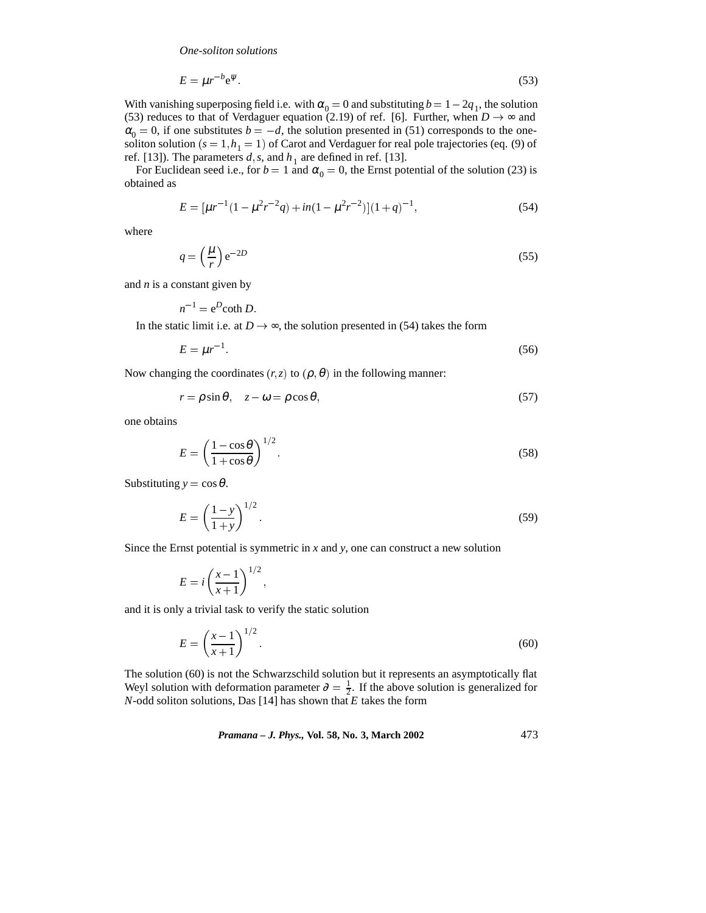$$
E = \mu r^{-b} e^{\psi} \tag{53}
$$

With vanishing superposing field i.e. with  $\alpha_0 = 0$  and substituting  $b = 1 - 2q_1$ , the solution (53) reduces to that of Verdaguer equation (2.19) of ref. [6]. Further, when  $D \rightarrow \infty$  and  $\alpha_0 = 0$ , if one substitutes  $b = -d$ , the solution presented in (51) corresponds to the onesoliton solution  $(s = 1, h<sub>1</sub> = 1)$  of Carot and Verdaguer for real pole trajectories (eq. (9) of ref. [13]). The parameters  $d$ ,  $s$ , and  $h<sub>1</sub>$  are defined in ref. [13].

For Euclidean seed i.e., for  $b = 1$  and  $\alpha_0 = 0$ , the Ernst potential of the solution (23) is obtained as

$$
E = \left[\mu r^{-1} (1 - \mu^2 r^{-2} q) + in(1 - \mu^2 r^{-2})\right] (1 + q)^{-1},\tag{54}
$$

where

$$
q = \left(\frac{\mu}{r}\right) e^{-2D} \tag{55}
$$

and *n* is a constant given by

$$
n^{-1} = e^D \coth D
$$
.  
In the static limit i.e. at  $D \to \infty$ , the solution presented in (54) takes the form

$$
E = \mu r^{-1}.\tag{56}
$$

Now changing the coordinates  $(r, z)$  to  $(\rho, \theta)$  in the following manner:

$$
r = \rho \sin \theta, \quad z - \omega = \rho \cos \theta,\tag{57}
$$

one obtains

$$
E = \left(\frac{1 - \cos\theta}{1 + \cos\theta}\right)^{1/2}.\tag{58}
$$

Substituting  $y = \cos \theta$ .

$$
E = \left(\frac{1-y}{1+y}\right)^{1/2}.\tag{59}
$$

Since the Ernst potential is symmetric in *x* and *y*, one can construct a new solution

$$
E = i\left(\frac{x-1}{x+1}\right)^{1/2},
$$

and it is only a trivial task to verify the static solution

$$
E = \left(\frac{x-1}{x+1}\right)^{1/2}.\tag{60}
$$

The solution (60) is not the Schwarzschild solution but it represents an asymptotically flat Weyl solution with deformation parameter  $\partial = \frac{1}{2}$ . If the above solution is generalized for *N*-odd soliton solutions, Das [14] has shown that *E* takes the form

*Pramana – J. Phys.,* **Vol. 58, No. 3, March 2002** 473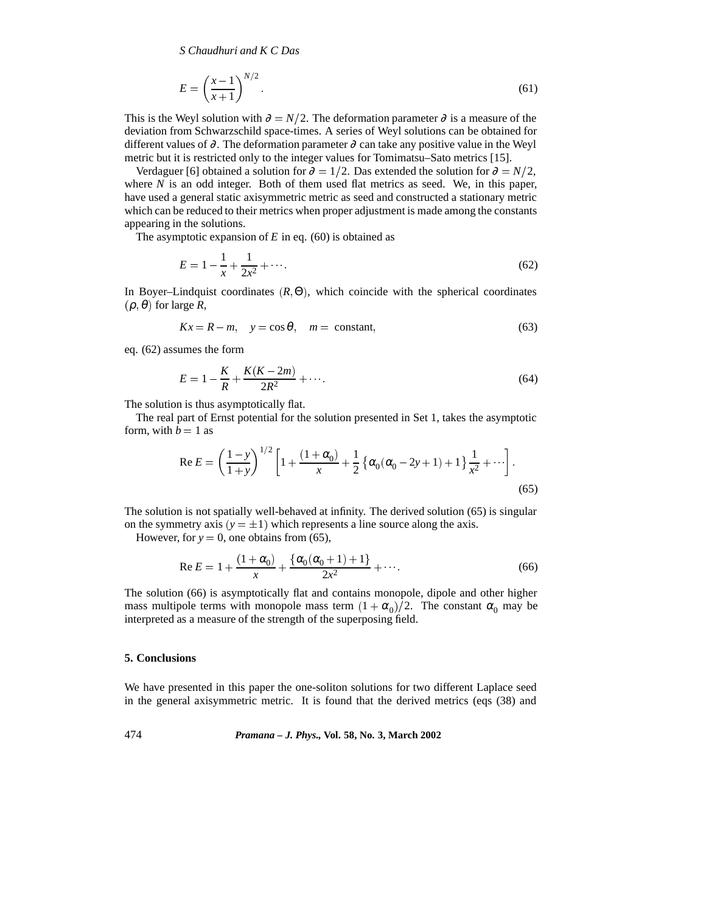*S Chaudhuri and K C Das*

$$
E = \left(\frac{x-1}{x+1}\right)^{N/2}.\tag{61}
$$

This is the Weyl solution with  $\partial = N/2$ . The deformation parameter  $\partial$  is a measure of the deviation from Schwarzschild space-times. A series of Weyl solutions can be obtained for different values of  $\partial$ . The deformation parameter  $\partial$  can take any positive value in the Weyl metric but it is restricted only to the integer values for Tomimatsu–Sato metrics [15].

Verdaguer [6] obtained a solution for  $\partial = 1/2$ . Das extended the solution for  $\partial = N/2$ , where *N* is an odd integer. Both of them used flat metrics as seed. We, in this paper, have used a general static axisymmetric metric as seed and constructed a stationary metric which can be reduced to their metrics when proper adjustment is made among the constants appearing in the solutions.

The asymptotic expansion of *E* in eq. (60) is obtained as

$$
E = 1 - \frac{1}{x} + \frac{1}{2x^2} + \cdots
$$
 (62)

In Boyer–Lindquist coordinates  $(R, \Theta)$ , which coincide with the spherical coordinates  $(\rho, \theta)$  for large *R*,

$$
Kx = R - m, \quad y = \cos \theta, \quad m = \text{constant}, \tag{63}
$$

eq. (62) assumes the form

$$
E = 1 - \frac{K}{R} + \frac{K(K - 2m)}{2R^2} + \cdots
$$
 (64)

The solution is thus asymptotically flat.

The real part of Ernst potential for the solution presented in Set 1, takes the asymptotic form, with  $b = 1$  as

$$
\operatorname{Re} E = \left(\frac{1-y}{1+y}\right)^{1/2} \left[1 + \frac{(1+\alpha_0)}{x} + \frac{1}{2} \left\{\alpha_0(\alpha_0 - 2y + 1) + 1\right\} \frac{1}{x^2} + \cdots \right].
$$
\n(65)

The solution is not spatially well-behaved at infinity. The derived solution (65) is singular on the symmetry axis  $(y = \pm 1)$  which represents a line source along the axis.

However, for  $y = 0$ , one obtains from (65),

Re 
$$
E = 1 + \frac{(1 + \alpha_0)}{x} + \frac{\{\alpha_0(\alpha_0 + 1) + 1\}}{2x^2} + \cdots
$$
 (66)

The solution (66) is asymptotically flat and contains monopole, dipole and other higher mass multipole terms with monopole mass term  $(1 + \alpha_0)/2$ . The constant  $\alpha_0$  may be interpreted as a measure of the strength of the superposing field.

## **5. Conclusions**

We have presented in this paper the one-soliton solutions for two different Laplace seed in the general axisymmetric metric. It is found that the derived metrics (eqs (38) and